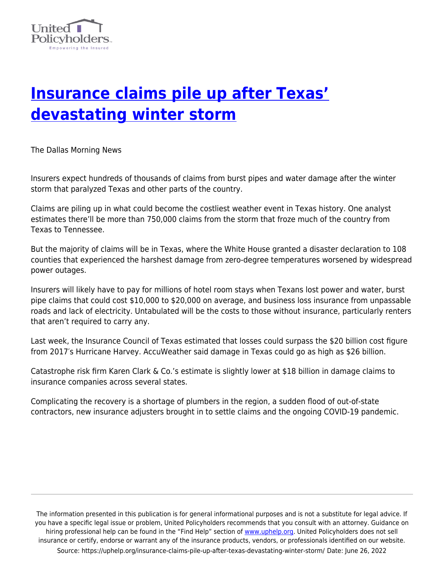

## **[Insurance claims pile up after Texas'](https://uphelp.org/insurance-claims-pile-up-after-texas-devastating-winter-storm/) [devastating winter storm](https://uphelp.org/insurance-claims-pile-up-after-texas-devastating-winter-storm/)**

The Dallas Morning News

Insurers expect hundreds of thousands of claims from burst pipes and water damage after the winter storm that paralyzed Texas and other parts of the country.

Claims are piling up in what could become the costliest weather event in Texas history. One analyst estimates there'll be more than 750,000 claims from the storm that froze much of the country from Texas to Tennessee.

But the majority of claims will be in Texas, where the White House granted a disaster declaration to 108 counties that experienced the harshest damage from zero-degree temperatures worsened by widespread power outages.

Insurers will likely have to pay for millions of hotel room stays when Texans lost power and water, burst pipe claims that could cost \$10,000 to \$20,000 on average, and business loss insurance from unpassable roads and lack of electricity. Untabulated will be the costs to those without insurance, particularly renters that aren't required to carry any.

Last week, the Insurance Council of Texas estimated that losses could surpass the \$20 billion cost figure from 2017′s Hurricane Harvey. AccuWeather said damage in Texas could go as high as \$26 billion.

Catastrophe risk firm Karen Clark & Co.'s estimate is slightly lower at \$18 billion in damage claims to insurance companies across several states.

Complicating the recovery is a shortage of plumbers in the region, a sudden flood of out-of-state contractors, new insurance adjusters brought in to settle claims and the ongoing COVID-19 pandemic.

The information presented in this publication is for general informational purposes and is not a substitute for legal advice. If you have a specific legal issue or problem, United Policyholders recommends that you consult with an attorney. Guidance on hiring professional help can be found in the "Find Help" section of [www.uphelp.org.](http://www.uphelp.org/) United Policyholders does not sell insurance or certify, endorse or warrant any of the insurance products, vendors, or professionals identified on our website. Source: https://uphelp.org/insurance-claims-pile-up-after-texas-devastating-winter-storm/ Date: June 26, 2022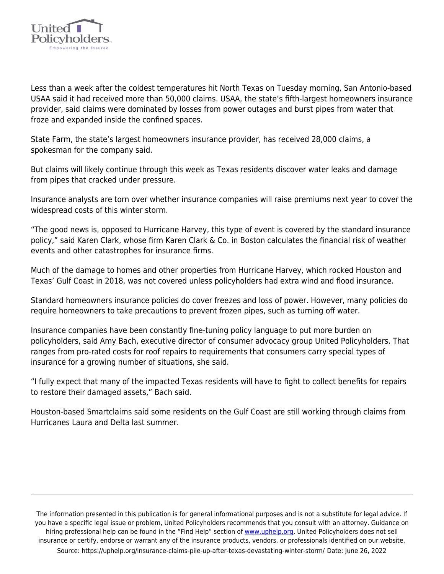

Less than a week after the coldest temperatures hit North Texas on Tuesday morning, San Antonio-based USAA said it had received more than 50,000 claims. USAA, the state's fifth-largest homeowners insurance provider, said claims were dominated by losses from power outages and burst pipes from water that froze and expanded inside the confined spaces.

State Farm, the state's largest homeowners insurance provider, has received 28,000 claims, a spokesman for the company said.

But claims will likely continue through this week as Texas residents discover water leaks and damage from pipes that cracked under pressure.

Insurance analysts are torn over whether insurance companies will raise premiums next year to cover the widespread costs of this winter storm.

"The good news is, opposed to Hurricane Harvey, this type of event is covered by the standard insurance policy," said Karen Clark, whose firm Karen Clark & Co. in Boston calculates the financial risk of weather events and other catastrophes for insurance firms.

Much of the damage to homes and other properties from Hurricane Harvey, which rocked Houston and Texas' Gulf Coast in 2018, was not covered unless policyholders had extra wind and flood insurance.

Standard homeowners insurance policies do cover freezes and loss of power. However, many policies do require homeowners to take precautions to prevent frozen pipes, such as turning off water.

Insurance companies have been constantly fine-tuning policy language to put more burden on policyholders, said Amy Bach, executive director of consumer advocacy group United Policyholders. That ranges from pro-rated costs for roof repairs to requirements that consumers carry special types of insurance for a growing number of situations, she said.

"I fully expect that many of the impacted Texas residents will have to fight to collect benefits for repairs to restore their damaged assets," Bach said.

Houston-based Smartclaims said some residents on the Gulf Coast are still working through claims from Hurricanes Laura and Delta last summer.

The information presented in this publication is for general informational purposes and is not a substitute for legal advice. If you have a specific legal issue or problem, United Policyholders recommends that you consult with an attorney. Guidance on hiring professional help can be found in the "Find Help" section of [www.uphelp.org.](http://www.uphelp.org/) United Policyholders does not sell insurance or certify, endorse or warrant any of the insurance products, vendors, or professionals identified on our website. Source: https://uphelp.org/insurance-claims-pile-up-after-texas-devastating-winter-storm/ Date: June 26, 2022